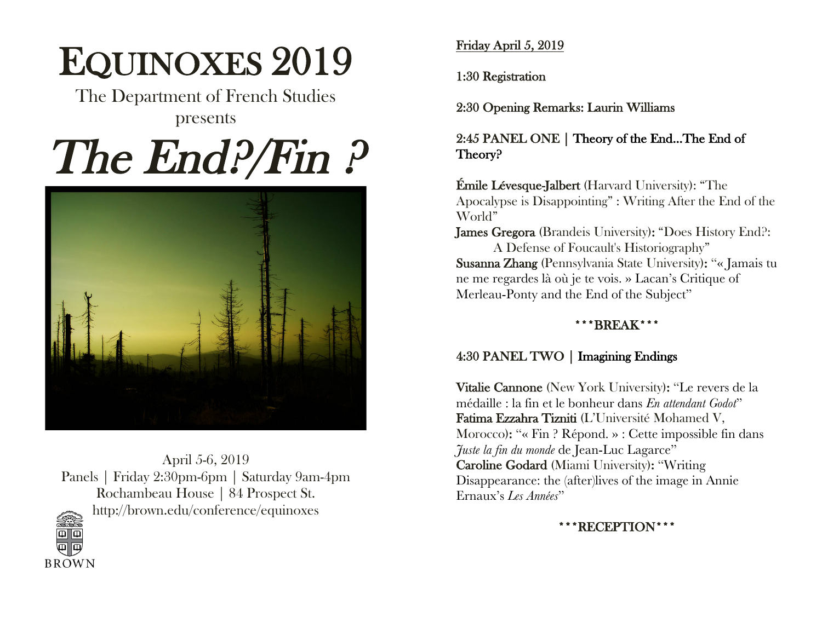# EQUINOXES 2019

The Department of French Studies presents

# The End?/Fin?



April 5-6, 2019 Panels | Friday 2:30pm-6pm | Saturday 9am-4pm Rochambeau House | 84 Prospect St. http://brown.edu/conference/equinoxes



Friday April 5, 2019

1:30 Registration

2:30 Opening Remarks: Laurin Williams

2:45 PANEL ONE | Theory of the End…The End of Theory?

Émile Lévesque-Jalbert (Harvard University): "The Apocalypse is Disappointing" : Writing After the End of the World"

James Gregora (Brandeis University): "Does History End?: A Defense of Foucault's Historiography"

Susanna Zhang (Pennsylvania State University): "« Jamais tu ne me regardes là où je te vois. » Lacan's Critique of Merleau-Ponty and the End of the Subject"

# \*\*\*BREAK\*\*\*

## 4:30 PANEL TWO | Imagining Endings

Vitalie Cannone (New York University): "Le revers de la médaille : la fin et le bonheur dans *En attendant Godot*" Fatima Ezzahra Tizniti (L'Université Mohamed V, Morocco): "« Fin ? Répond. » : Cette impossible fin dans *Juste la fin du monde* de Jean-Luc Lagarce" Caroline Godard (Miami University): "Writing Disappearance: the (after)lives of the image in Annie Ernaux's *Les Années*"

RECEPTION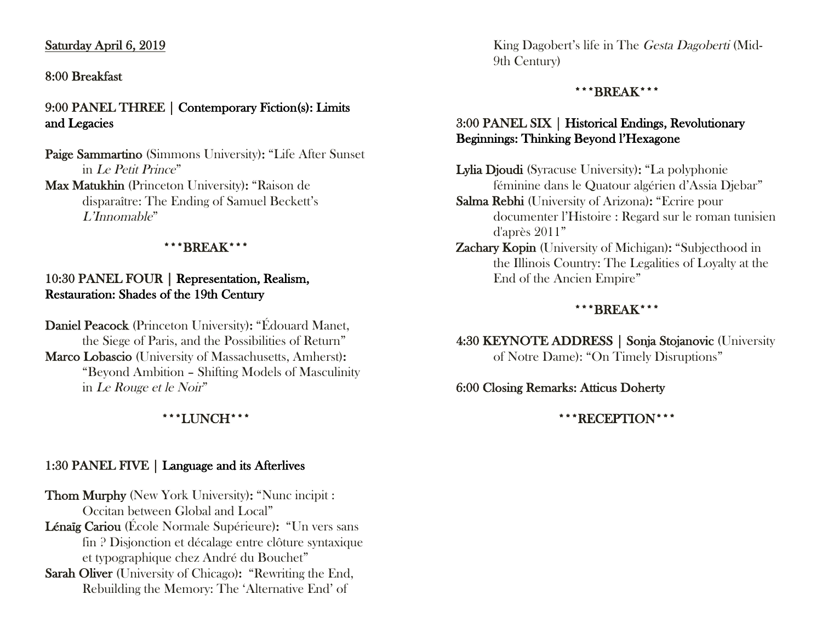#### Saturday April 6, 2019

#### 8:00 Breakfast

#### 9:00 PANEL THREE | Contemporary Fiction(s): Limits and Legacies

Paige Sammartino (Simmons University): "Life After Sunset in Le Petit Prince" Max Matukhin (Princeton University): "Raison de disparaître: The Ending of Samuel Beckett's L'Innomable"

#### \*\*\*BREAK\*\*\*

#### 10:30 PANEL FOUR | Representation, Realism, Restauration: Shades of the 19th Century

Daniel Peacock (Princeton University): "Édouard Manet, the Siege of Paris, and the Possibilities of Return" Marco Lobascio (University of Massachusetts, Amherst): "Beyond Ambition – Shifting Models of Masculinity in Le Rouge et le Noir"

#### \*\*\*LUNCH\*\*\*

#### 1:30 PANEL FIVE | Language and its Afterlives

Thom Murphy (New York University): "Nunc incipit : Occitan between Global and Local" Lénaïg Cariou (École Normale Supérieure): "Un vers sans fin ? Disjonction et décalage entre clôture syntaxique et typographique chez André du Bouchet"

Sarah Oliver (University of Chicago): "Rewriting the End, Rebuilding the Memory: The 'Alternative End' of

King Dagobert's life in The Gesta Dagoberti (Mid-9th Century)

#### \*\*\*BREAK\*\*\*

#### 3:00 PANEL SIX | Historical Endings, Revolutionary Beginnings: Thinking Beyond l'Hexagone

Lylia Djoudi (Syracuse University): "La polyphonie féminine dans le Quatour algérien d'Assia Djebar"

Salma Rebhi (University of Arizona): "Ecrire pour documenter l'Histoire : Regard sur le roman tunisien d'après 2011"

Zachary Kopin (University of Michigan): "Subjecthood in the Illinois Country: The Legalities of Loyalty at the End of the Ancien Empire"

#### \*\*\*BREAK\*\*\*

4:30 KEYNOTE ADDRESS | Sonja Stojanovic (University of Notre Dame): "On Timely Disruptions"

#### 6:00 Closing Remarks: Atticus Doherty

\*\*\*RECEPTION\*\*\*